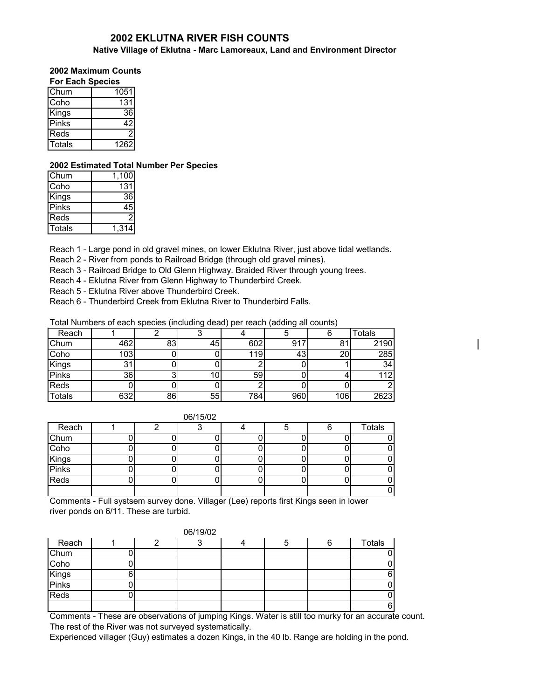# **2002 EKLUTNA RIVER FISH COUNTS**

#### **Native Village of Eklutna - Marc Lamoreaux, Land and Environment Director**

## **2002 Maximum Counts**

| <b>For Each Species</b> |      |  |  |  |  |  |
|-------------------------|------|--|--|--|--|--|
| Chum                    | 1051 |  |  |  |  |  |
| Coho                    | 131  |  |  |  |  |  |
| Kings                   | 36   |  |  |  |  |  |
| Pinks                   | 42   |  |  |  |  |  |
| Reds                    | 2    |  |  |  |  |  |
| Totals                  | 1262 |  |  |  |  |  |

#### **2002 Estimated Total Number Per Species**

| Chum   | 1.100 |
|--------|-------|
| Coho   | 131   |
| Kings  | 36    |
| Pinks  |       |
| Reds   |       |
| Totals | 1,314 |

Reach 1 - Large pond in old gravel mines, on lower Eklutna River, just above tidal wetlands.

Reach 2 - River from ponds to Railroad Bridge (through old gravel mines).

Reach 3 - Railroad Bridge to Old Glenn Highway. Braided River through young trees.

Reach 4 - Eklutna River from Glenn Highway to Thunderbird Creek.

Reach 5 - Eklutna River above Thunderbird Creek.

Reach 6 - Thunderbird Creek from Eklutna River to Thunderbird Falls.

Total Numbers of each species (including dead) per reach (adding all counts)

|               |     |    | -  | . . | $\tilde{\phantom{a}}$ |     |               |
|---------------|-----|----|----|-----|-----------------------|-----|---------------|
| Reach         |     |    |    |     |                       |     | <b>Totals</b> |
| Chum          | 462 | 83 | 45 | 602 | 91                    | 81  | 2190          |
| Coho          | 103 |    |    | 119 | 43                    | 20  | 285           |
| Kings         | 31  |    |    |     |                       |     | 34            |
| Pinks         | 36  |    | 10 | 59  |                       |     | 112           |
| Reds          |     |    |    |     |                       |     |               |
| <b>Totals</b> | 632 | 86 | 55 | 784 | 960                   | 106 | 2623          |

 $\mathsf{I}$ 

| 06/15/02       |  |  |  |  |  |  |        |  |  |
|----------------|--|--|--|--|--|--|--------|--|--|
| Reach          |  |  |  |  |  |  | Totals |  |  |
| Chum           |  |  |  |  |  |  |        |  |  |
| Coho           |  |  |  |  |  |  |        |  |  |
| Kings<br>Pinks |  |  |  |  |  |  |        |  |  |
|                |  |  |  |  |  |  |        |  |  |
| Reds           |  |  |  |  |  |  |        |  |  |
|                |  |  |  |  |  |  |        |  |  |

 $0.011 - 100$ 

Comments - Full systsem survey done. Villager (Lee) reports first Kings seen in lower river ponds on 6/11. These are turbid.

| 06/19/02               |  |  |   |  |  |  |               |  |  |
|------------------------|--|--|---|--|--|--|---------------|--|--|
| Reach                  |  |  | ╭ |  |  |  | <b>Totals</b> |  |  |
| Chum                   |  |  |   |  |  |  |               |  |  |
| Coho<br>Kings<br>Pinks |  |  |   |  |  |  |               |  |  |
|                        |  |  |   |  |  |  |               |  |  |
|                        |  |  |   |  |  |  |               |  |  |
| Reds                   |  |  |   |  |  |  |               |  |  |
|                        |  |  |   |  |  |  |               |  |  |

Comments - These are observations of jumping Kings. Water is still too murky for an accurate count. The rest of the River was not surveyed systematically.

Experienced villager (Guy) estimates a dozen Kings, in the 40 lb. Range are holding in the pond.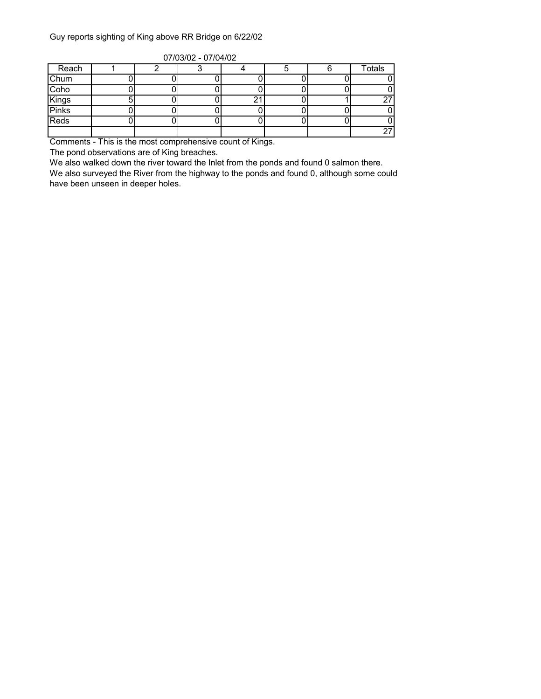### Guy reports sighting of King above RR Bridge on 6/22/02

| $V11V1V12 - V11V1V2$ |  |  |  |  |  |  |        |  |  |  |  |
|----------------------|--|--|--|--|--|--|--------|--|--|--|--|
| Reach                |  |  |  |  |  |  | Totals |  |  |  |  |
| Chum                 |  |  |  |  |  |  |        |  |  |  |  |
| Coho                 |  |  |  |  |  |  |        |  |  |  |  |
| Kings                |  |  |  |  |  |  | 27     |  |  |  |  |
| <b>Pinks</b>         |  |  |  |  |  |  |        |  |  |  |  |
| Reds                 |  |  |  |  |  |  |        |  |  |  |  |
|                      |  |  |  |  |  |  | 27     |  |  |  |  |

07/03/02 - 07/04/02

Comments - This is the most comprehensive count of Kings.

The pond observations are of King breaches.

We also walked down the river toward the Inlet from the ponds and found 0 salmon there.

We also surveyed the River from the highway to the ponds and found 0, although some could have been unseen in deeper holes.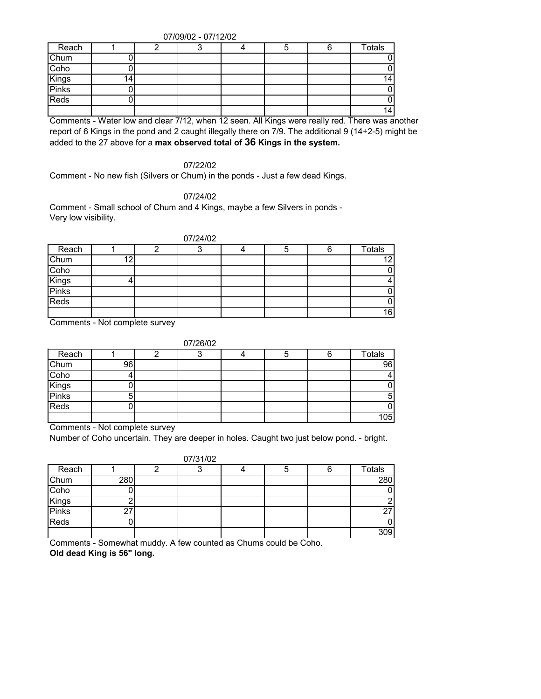07/09/02 - 07/12/02

| Reach          |    |  |  | υ | <b>Totals</b> |
|----------------|----|--|--|---|---------------|
| Chum           |    |  |  |   |               |
| Coho           |    |  |  |   |               |
| Kings<br>Pinks | 14 |  |  |   | 14            |
|                |    |  |  |   |               |
| Reds           |    |  |  |   |               |
|                |    |  |  |   | 141           |

Comments - Water low and clear 7/12, when 12 seen. All Kings were really red. There was another report of 6 Kings in the pond and 2 caught illegally there on 7/9. The additional 9 (14+2-5) might be added to the 27 above for a **max observed total of 36 Kings in the system.**

07/22/02

Comment - No new fish (Silvers or Chum) in the ponds - Just a few dead Kings.

07/24/02

Comment - Small school of Chum and 4 Kings, maybe a few Silvers in ponds - Very low visibility.

|                | 07/24/02 |  |  |  |  |   |                 |  |  |  |
|----------------|----------|--|--|--|--|---|-----------------|--|--|--|
| Reach          |          |  |  |  |  | 6 | <b>Totals</b>   |  |  |  |
| Chum           | 10       |  |  |  |  |   | $\overline{12}$ |  |  |  |
| Coho           |          |  |  |  |  |   | 01              |  |  |  |
|                |          |  |  |  |  |   |                 |  |  |  |
| Kings<br>Pinks |          |  |  |  |  |   | 01              |  |  |  |
| Reds           |          |  |  |  |  |   | 01              |  |  |  |
|                |          |  |  |  |  |   | 16              |  |  |  |

Comments - Not complete survey

|                        |    | 07/26/02 |  |               |
|------------------------|----|----------|--|---------------|
| Reach                  |    | ◠        |  | <b>Totals</b> |
| Chum<br>Coho           | 96 |          |  | 96            |
|                        |    |          |  |               |
|                        |    |          |  |               |
| Kings<br>Pinks<br>Reds |    |          |  | 51            |
|                        |    |          |  |               |
|                        |    |          |  | 105           |

Comments - Not complete survey

Number of Coho uncertain. They are deeper in holes. Caught two just below pond. - bright.

|       |     | 07/31/02 |   |                 |
|-------|-----|----------|---|-----------------|
| Reach |     |          | 5 | <b>Totals</b>   |
| Chum  | 280 |          |   | 280             |
| Coho  |     |          |   | 0               |
| Kings |     |          |   | 2               |
| Pinks | 27  |          |   | 27 <sub>l</sub> |
| Reds  |     |          |   | 0               |
|       |     |          |   | 309             |

Comments - Somewhat muddy. A few counted as Chums could be Coho. **Old dead King is 56" long.**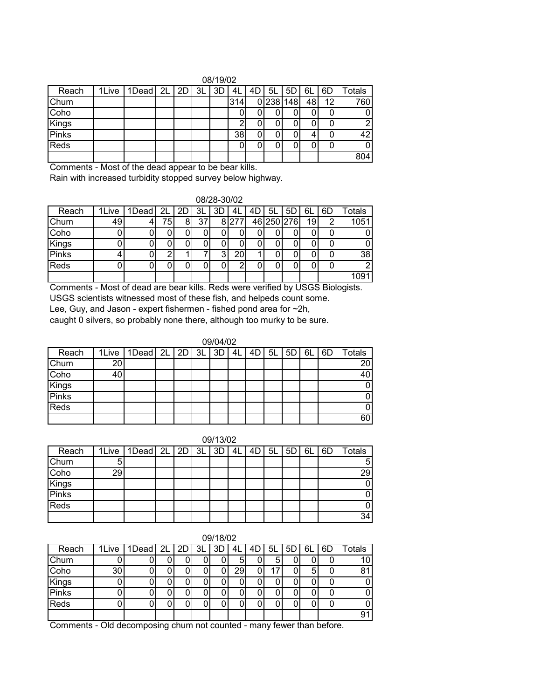| 08/19/02     |       |             |  |  |    |    |      |  |       |     |    |    |               |
|--------------|-------|-------------|--|--|----|----|------|--|-------|-----|----|----|---------------|
| Reach        | 1Live | 1Dead 2L 2D |  |  | 3L | 3D | ் 4∟ |  | 5L    | 5D  | 6L | 6D | <b>Totals</b> |
| Chum         |       |             |  |  |    |    | 314  |  | 0 238 | 148 | 48 | 12 | 760           |
| Coho         |       |             |  |  |    |    |      |  |       |     |    |    |               |
| <b>Kings</b> |       |             |  |  |    |    | ⌒    |  |       |     |    |    |               |
| <b>Pinks</b> |       |             |  |  |    |    | 38   |  |       |     |    |    | 42            |
| Reds         |       |             |  |  |    |    |      |  |       |     |    |    |               |
|              |       |             |  |  |    |    |      |  |       |     |    |    | 804           |

Comments - Most of the dead appear to be bear kills.

Rain with increased turbidity stopped survey below highway.

| 08/28-30/02 |  |
|-------------|--|
|             |  |

| Reach        | 1Live | 1Dead | 2L  | 2D | 3L | 3D | 4L  | 4D | 5L | 5D         | 6L | 6Γ | ctals |
|--------------|-------|-------|-----|----|----|----|-----|----|----|------------|----|----|-------|
| Chum         | 49    |       | 75. | 8  | 37 | 8  | 277 |    |    | 46 250 276 | 19 |    | 1051  |
| Coho         |       |       |     |    |    |    |     |    |    |            |    |    |       |
| Kings        |       |       |     |    |    |    |     |    |    |            |    |    | 0     |
| <b>Pinks</b> |       |       |     |    |    | 3  | 20  |    |    |            |    |    | 38    |
| Reds         |       |       |     |    |    |    |     |    |    |            |    |    | າ     |
|              |       |       |     |    |    |    |     |    |    |            |    |    |       |

Comments - Most of dead are bear kills. Reds were verified by USGS Biologists. USGS scientists witnessed most of these fish, and helpeds count some.

Lee, Guy, and Jason - expert fishermen - fished pond area for ~2h,

caught 0 silvers, so probably none there, although too murky to be sure.

|              |    |                                   |  | 09/04/02 |    |    |    |    |    |    |               |
|--------------|----|-----------------------------------|--|----------|----|----|----|----|----|----|---------------|
| Reach        |    | 1Live   1Dead   2L   2D   3L   3D |  |          | 4L | 4D | 5L | 5D | 6L | 6D | <b>Totals</b> |
| Chum         | 20 |                                   |  |          |    |    |    |    |    |    | 20            |
| Coho         | 40 |                                   |  |          |    |    |    |    |    |    |               |
| Kings        |    |                                   |  |          |    |    |    |    |    |    |               |
| <b>Pinks</b> |    |                                   |  |          |    |    |    |    |    |    |               |
| Reds         |    |                                   |  |          |    |    |    |    |    |    |               |
|              |    |                                   |  |          |    |    |    |    |    |    | 60            |

| 09/13/02       |    |                              |  |  |  |    |    |      |    |    |    |    |        |
|----------------|----|------------------------------|--|--|--|----|----|------|----|----|----|----|--------|
| Reach          |    | 1Live   1Dead   2L   2D   3L |  |  |  | 3D | 4L | 4D I | 5L | 5D | 6L | 6D | Totals |
| Chum           | C  |                              |  |  |  |    |    |      |    |    |    |    |        |
| Coho           | 29 |                              |  |  |  |    |    |      |    |    |    |    | 29     |
| Kings<br>Pinks |    |                              |  |  |  |    |    |      |    |    |    |    |        |
|                |    |                              |  |  |  |    |    |      |    |    |    |    |        |
| Reds           |    |                              |  |  |  |    |    |      |    |    |    |    |        |
|                |    |                              |  |  |  |    |    |      |    |    |    |    | 34     |

| 09/18/02     |                 |                    |  |  |    |    |    |    |    |    |    |    |               |
|--------------|-----------------|--------------------|--|--|----|----|----|----|----|----|----|----|---------------|
| Reach        | 1Live           | $1$ Dead $2L$ $2D$ |  |  | 3L | 3D | 4L | 4D | 5L | 5D | 6L | 6D | <b>Totals</b> |
| Chum         |                 |                    |  |  |    |    | 5  |    | 5  | u  |    |    | 10            |
| Coho         | 30 <sup>°</sup> |                    |  |  |    |    | 29 |    | 7  |    | 5  |    | 81            |
| Kings        |                 |                    |  |  |    |    |    |    |    |    |    |    |               |
| <b>Pinks</b> |                 |                    |  |  |    |    |    |    | u  | u  |    |    |               |
| Reds         |                 |                    |  |  |    |    |    |    |    |    |    |    |               |
|              |                 |                    |  |  |    |    |    |    |    |    |    |    | 91            |

Comments - Old decomposing chum not counted - many fewer than before.